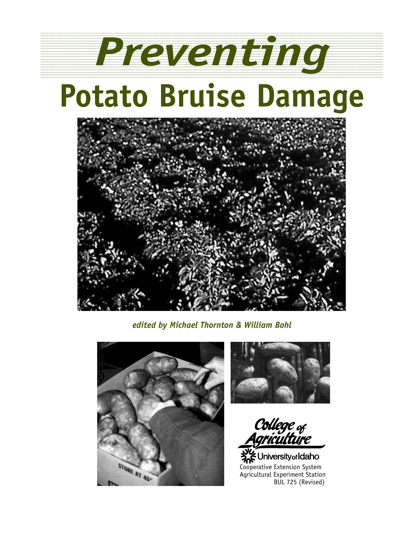

123456789012345678901234567890121234567890123456789012345678901212345678901234567890123456789012123456789012345678901234567890121234

# **Potato Bruise Damage**



*edited by Michael Thornton & William Bohl*





College <sub>of</sub><br>Agriculture

**She University of Idaho** Cooperative Extension System Agricultural Experiment Station BUL 725 (Revised)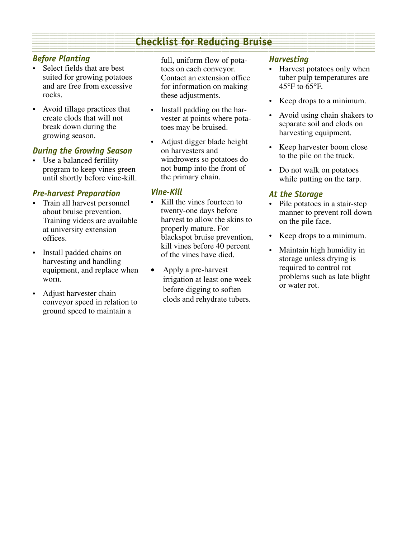#### **Checklist for Reducing Bruise Changes of Checklist Checklist** 1 123 - 123 - 123 - 123 - 123 - 123 - 123 - 123 - 123 - 123 - 123 - 123 - 123 - 123 - 123 - 123 - 123 - 123 -

#### *Before Planting*

- Select fields that are best suited for growing potatoes and are free from excessive rocks.
- Avoid tillage practices that create clods that will not break down during the growing season.

#### *During the Growing Season*

• Use a balanced fertility program to keep vines green until shortly before vine-kill.

#### *Pre-harvest Preparation*

- Train all harvest personnel about bruise prevention. Training videos are available at university extension offices.
- Install padded chains on harvesting and handling equipment, and replace when worn.
- Adjust harvester chain conveyor speed in relation to ground speed to maintain a

full, uniform flow of potatoes on each conveyor. Contact an extension office for information on making these adjustments.

- Install padding on the harvester at points where potatoes may be bruised.
- Adjust digger blade height on harvesters and windrowers so potatoes do not bump into the front of the primary chain.

#### *Vine-Kill*

- Kill the vines fourteen to twenty-one days before harvest to allow the skins to properly mature. For blackspot bruise prevention, kill vines before 40 percent of the vines have died.
- Apply a pre-harvest irrigation at least one week before digging to soften clods and rehydrate tubers.

#### *Harvesting*

- Harvest potatoes only when tuber pulp temperatures are  $45^{\circ}$ F to  $65^{\circ}$ F.
- Keep drops to a minimum.
- Avoid using chain shakers to separate soil and clods on harvesting equipment.
- Keep harvester boom close to the pile on the truck.
- Do not walk on potatoes while putting on the tarp.

#### *At the Storage*

- Pile potatoes in a stair-step manner to prevent roll down on the pile face.
- Keep drops to a minimum.
- Maintain high humidity in storage unless drying is required to control rot problems such as late blight or water rot.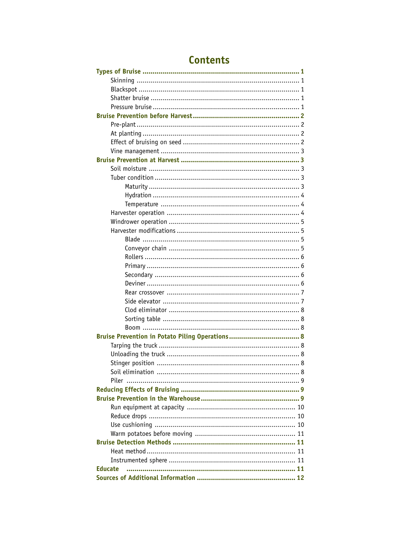| Bruise Prevention in Potato Piling Operations 8 |
|-------------------------------------------------|
|                                                 |
|                                                 |
|                                                 |
|                                                 |
|                                                 |
|                                                 |
|                                                 |
|                                                 |
|                                                 |
|                                                 |
|                                                 |
|                                                 |
|                                                 |
|                                                 |
|                                                 |
| <b>Educate</b>                                  |
|                                                 |

# **Contents**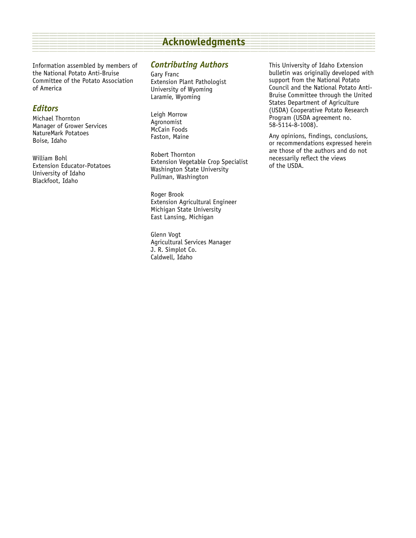#### **Example 2018 Acknowledgments** Acknowledgments and the contract of the contract of the contract of the contract of the contract of the contract of the contract of the contract of the contract of the contract of the contrac 1 1234

Information assembled by members of the National Potato Anti-Bruise Committee of the Potato Association of America

#### *Editors*

Michael Thornton Manager of Grower Services NatureMark Potatoes Boise, Idaho

William Bohl Extension Educator-Potatoes University of Idaho Blackfoot, Idaho

#### *Contributing Authors*

Gary Franc Extension Plant Pathologist University of Wyoming Laramie, Wyoming

Leigh Morrow Agronomist McCain Foods Faston, Maine

Robert Thornton Extension Vegetable Crop Specialist Washington State University Pullman, Washington

Roger Brook Extension Agricultural Engineer Michigan State University East Lansing, Michigan

Glenn Vogt Agricultural Services Manager J. R. Simplot Co. Caldwell, Idaho

This University of Idaho Extension bulletin was originally developed with support from the National Potato Council and the National Potato Anti-Bruise Committee through the United States Department of Agriculture (USDA) Cooperative Potato Research Program (USDA agreement no. 58-5114-8-1008).

Any opinions, findings, conclusions, or recommendations expressed herein are those of the authors and do not necessarily reflect the views of the USDA.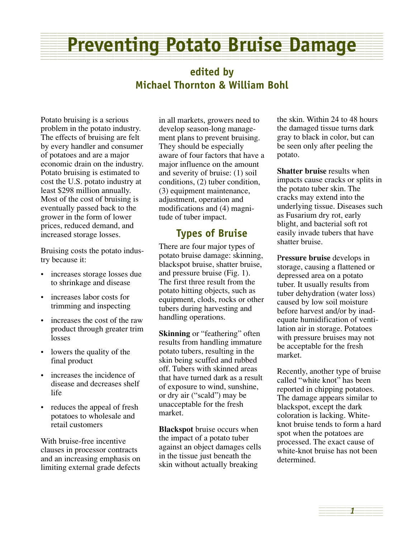#### **Preventing Potato Bruise Damage** 1 1234

## **edited by Michael Thornton & William Bohl**

Potato bruising is a serious problem in the potato industry. The effects of bruising are felt by every handler and consumer of potatoes and are a major economic drain on the industry. Potato bruising is estimated to cost the U.S. potato industry at least \$298 million annually. Most of the cost of bruising is eventually passed back to the grower in the form of lower prices, reduced demand, and increased storage losses.

Bruising costs the potato industry because it:

- increases storage losses due to shrinkage and disease
- increases labor costs for trimming and inspecting
- increases the cost of the raw product through greater trim losses
- lowers the quality of the final product
- increases the incidence of disease and decreases shelf life
- reduces the appeal of fresh potatoes to wholesale and retail customers

With bruise-free incentive clauses in processor contracts and an increasing emphasis on limiting external grade defects

in all markets, growers need to develop season-long management plans to prevent bruising. They should be especially aware of four factors that have a major influence on the amount and severity of bruise: (1) soil conditions, (2) tuber condition, (3) equipment maintenance, adjustment, operation and modifications and (4) magnitude of tuber impact.

## **Types of Bruise**

There are four major types of potato bruise damage: skinning, blackspot bruise, shatter bruise, and pressure bruise (Fig. 1). The first three result from the potato hitting objects, such as equipment, clods, rocks or other tubers during harvesting and handling operations.

**Skinning** or "feathering" often results from handling immature potato tubers, resulting in the skin being scuffed and rubbed off. Tubers with skinned areas that have turned dark as a result of exposure to wind, sunshine, or dry air ("scald") may be unacceptable for the fresh market.

**Blackspot** bruise occurs when the impact of a potato tuber against an object damages cells in the tissue just beneath the skin without actually breaking

the skin. Within 24 to 48 hours the damaged tissue turns dark gray to black in color, but can be seen only after peeling the potato.

**Shatter bruise** results when impacts cause cracks or splits in the potato tuber skin. The cracks may extend into the underlying tissue. Diseases such as Fusarium dry rot, early blight, and bacterial soft rot easily invade tubers that have shatter bruise.

P**ressure bruise** develops in storage, causing a flattened or depressed area on a potato tuber. It usually results from tuber dehydration (water loss) caused by low soil moisture before harvest and/or by inadequate humidification of ventilation air in storage. Potatoes with pressure bruises may not be acceptable for the fresh market.

Recently, another type of bruise called "white knot" has been reported in chipping potatoes. The damage appears similar to blackspot, except the dark coloration is lacking. Whiteknot bruise tends to form a hard spot when the potatoes are processed. The exact cause of white-knot bruise has not been determined.

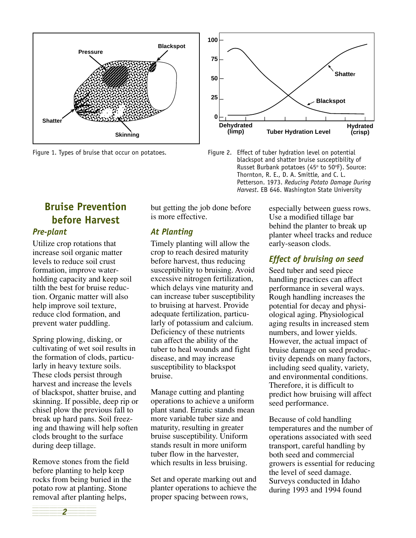

Figure 1. Types of bruise that occur on potatoes. Figure 2. Effect of tuber hydration level on potential



Utilize crop rotations that increase soil organic matter levels to reduce soil crust formation, improve waterholding capacity and keep soil tilth the best for bruise reduction. Organic matter will also help improve soil texture, reduce clod formation, and prevent water puddling.

Spring plowing, disking, or cultivating of wet soil results in the formation of clods, particularly in heavy texture soils. These clods persist through harvest and increase the levels of blackspot, shatter bruise, and skinning. If possible, deep rip or chisel plow the previous fall to break up hard pans. Soil freezing and thawing will help soften clods brought to the surface during deep tillage.

Remove stones from the field before planting to help keep rocks from being buried in the potato row at planting. Stone removal after planting helps,

but getting the job done before is more effective.

#### *At Planting*

Timely planting will allow the crop to reach desired maturity before harvest, thus reducing susceptibility to bruising. Avoid excessive nitrogen fertilization, which delays vine maturity and can increase tuber susceptibility to bruising at harvest. Provide adequate fertilization, particularly of potassium and calcium. Deficiency of these nutrients can affect the ability of the tuber to heal wounds and fight disease, and may increase susceptibility to blackspot bruise.

Manage cutting and planting operations to achieve a uniform plant stand. Erratic stands mean more variable tuber size and maturity, resulting in greater bruise susceptibility. Uniform stands result in more uniform tuber flow in the harvester, which results in less bruising.

Set and operate marking out and planter operations to achieve the proper spacing between rows,

especially between guess rows. Use a modified tillage bar behind the planter to break up planter wheel tracks and reduce early-season clods.

#### *Effect of bruising on seed*

Seed tuber and seed piece handling practices can affect performance in several ways. Rough handling increases the potential for decay and physiological aging. Physiological aging results in increased stem numbers, and lower yields. However, the actual impact of bruise damage on seed productivity depends on many factors, including seed quality, variety, and environmental conditions. Therefore, it is difficult to predict how bruising will affect seed performance.

Because of cold handling temperatures and the number of operations associated with seed transport, careful handling by both seed and commercial growers is essential for reducing the level of seed damage. Surveys conducted in Idaho during 1993 and 1994 found





**2** 1234<del>57890123456789012345789012345678901234578</del>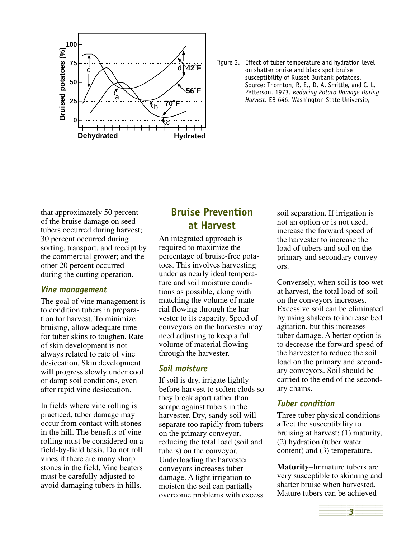

Figure 3. Effect of tuber temperature and hydration level on shatter bruise and black spot bruise susceptibility of Russet Burbank potatoes. Source: Thornton, R. E., D. A. Smittle, and C. L. Petterson. 1973. *Reducing Potato Damage During Harvest*. EB 646. Washington State University

that approximately 50 percent of the bruise damage on seed tubers occurred during harvest; 30 percent occurred during sorting, transport, and receipt by the commercial grower; and the other 20 percent occurred during the cutting operation.

#### *Vine management*

The goal of vine management is to condition tubers in preparation for harvest. To minimize bruising, allow adequate time for tuber skins to toughen. Rate of skin development is not always related to rate of vine desiccation. Skin development will progress slowly under cool or damp soil conditions, even after rapid vine desiccation.

In fields where vine rolling is practiced, tuber damage may occur from contact with stones in the hill. The benefits of vine rolling must be considered on a field-by-field basis. Do not roll vines if there are many sharp stones in the field. Vine beaters must be carefully adjusted to avoid damaging tubers in hills.

## **Bruise Prevention at Harvest**

An integrated approach is required to maximize the percentage of bruise-free potatoes. This involves harvesting under as nearly ideal temperature and soil moisture conditions as possible, along with matching the volume of material flowing through the harvester to its capacity. Speed of conveyors on the harvester may need adjusting to keep a full volume of material flowing through the harvester.

#### *Soil moisture*

If soil is dry, irrigate lightly before harvest to soften clods so they break apart rather than scrape against tubers in the harvester. Dry, sandy soil will separate too rapidly from tubers on the primary conveyor, reducing the total load (soil and tubers) on the conveyor. Underloading the harvester conveyors increases tuber damage. A light irrigation to moisten the soil can partially overcome problems with excess

soil separation. If irrigation is not an option or is not used, increase the forward speed of the harvester to increase the load of tubers and soil on the primary and secondary conveyors.

Conversely, when soil is too wet at harvest, the total load of soil on the conveyors increases. Excessive soil can be eliminated by using shakers to increase bed agitation, but this increases tuber damage. A better option is to decrease the forward speed of the harvester to reduce the soil load on the primary and secondary conveyors. Soil should be carried to the end of the secondary chains.

#### *Tuber condition*

Three tuber physical conditions affect the susceptibility to bruising at harvest: (1) maturity, (2) hydration (tuber water content) and (3) temperature.

**Maturity**–Immature tubers are very susceptible to skinning and shatter bruise when harvested. Mature tubers can be achieved

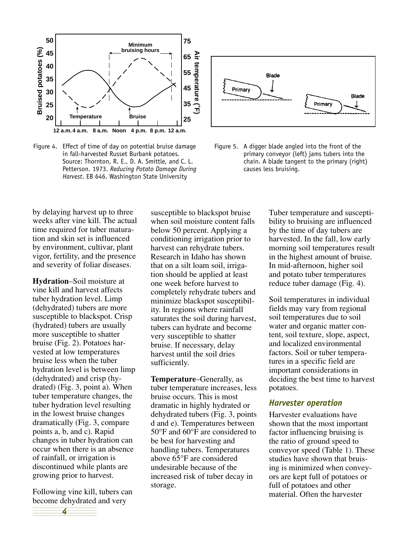

Figure 4. Effect of time of day on potential bruise damage in fall-harvested Russet Burbank potatoes. Source: Thornton, R. E., D. A. Smittle, and C. L. Petterson. 1973. *Reducing Potato Damage During Harvest*. EB 646. Washington State University



Figure 5. A digger blade angled into the front of the primary conveyor (left) jams tubers into the chain. A blade tangent to the primary (right) causes less bruising.

by delaying harvest up to three weeks after vine kill. The actual time required for tuber maturation and skin set is influenced by environment, cultivar, plant vigor, fertility, and the presence and severity of foliar diseases.

**Hydration**–Soil moisture at vine kill and harvest affects tuber hydration level. Limp (dehydrated) tubers are more susceptible to blackspot. Crisp (hydrated) tubers are usually more susceptible to shatter bruise (Fig. 2). Potatoes harvested at low temperatures bruise less when the tuber hydration level is between limp (dehydrated) and crisp (hydrated) (Fig. 3, point a). When tuber temperature changes, the tuber hydration level resulting in the lowest bruise changes dramatically (Fig. 3, compare points a, b, and c). Rapid changes in tuber hydration can occur when there is an absence of rainfall, or irrigation is discontinued while plants are growing prior to harvest.

become dehydrated and very Following vine kill, tubers can

12345678901234567890123456 1 6 *4* 1234<del>5789012345678901234567890123456789012345</del> susceptible to blackspot bruise when soil moisture content falls below 50 percent. Applying a conditioning irrigation prior to harvest can rehydrate tubers. Research in Idaho has shown that on a silt loam soil, irrigation should be applied at least one week before harvest to completely rehydrate tubers and minimize blackspot susceptibility. In regions where rainfall saturates the soil during harvest, tubers can hydrate and become very susceptible to shatter bruise. If necessary, delay harvest until the soil dries sufficiently.

**Temperature**–Generally, as tuber temperature increases, less bruise occurs. This is most dramatic in highly hydrated or dehydrated tubers (Fig. 3, points d and e). Temperatures between 50°F and 60°F are considered to be best for harvesting and handling tubers. Temperatures above 65°F are considered undesirable because of the increased risk of tuber decay in storage.

Tuber temperature and susceptibility to bruising are influenced by the time of day tubers are harvested. In the fall, low early morning soil temperatures result in the highest amount of bruise. In mid-afternoon, higher soil and potato tuber temperatures reduce tuber damage (Fig. 4).

Soil temperatures in individual fields may vary from regional soil temperatures due to soil water and organic matter content, soil texture, slope, aspect, and localized environmental factors. Soil or tuber temperatures in a specific field are important considerations in deciding the best time to harvest potatoes.

#### *Harvester operation*

Harvester evaluations have shown that the most important factor influencing bruising is the ratio of ground speed to conveyor speed (Table 1). These studies have shown that bruising is minimized when conveyors are kept full of potatoes or full of potatoes and other material. Often the harvester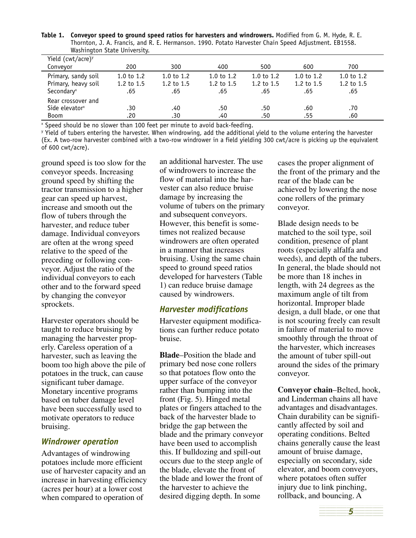| Washington State University.  |              |              |              |              |              |              |  |
|-------------------------------|--------------|--------------|--------------|--------------|--------------|--------------|--|
| Yield (cwt/acre) <sup>y</sup> |              |              |              |              |              |              |  |
| Conveyor                      | 200          | 300          | 400          | 500          | 600          | 700          |  |
| Primary, sandy soil           | 1.0 to $1.2$ | 1.0 to $1.2$ | 1.0 to $1.2$ | 1.0 to $1.2$ | 1.0 to $1.2$ | 1.0 to $1.2$ |  |
| Primary, heavy soil           | 1.2 to 1.5   | 1.2 to $1.5$ | 1.2 to $1.5$ | 1.2 to $1.5$ | 1.2 to $1.5$ | 1.2 to 1.5   |  |
| Secondary <sup>x</sup>        | .65          | .65          | .65          | .65          | .65          | .65          |  |
| Rear crossover and            |              |              |              |              |              |              |  |
| Side elevator <sup>x</sup>    | .30          | .40          | .50          | .50          | .60          | .70          |  |
| <b>Boom</b>                   | .20          | .30          | .40          | .50          | .55          | .60          |  |

**Table 1. Conveyor speed to ground speed ratios for harvesters and windrowers.** Modified from G. M. Hyde, R. E. Thornton, J. A. Francis, and R. E. Hermanson. 1990. Potato Harvester Chain Speed Adjustment. EB1558.

x Speed should be no slower than 100 feet per minute to avoid back-feeding.

y Yield of tubers entering the harvester. When windrowing, add the additional yield to the volume entering the harvester (Ex. A two-row harvester combined with a two-row windrower in a field yielding 300 cwt/acre is picking up the equivalent of 600 cwt/acre).

ground speed is too slow for the conveyor speeds. Increasing ground speed by shifting the tractor transmission to a higher gear can speed up harvest, increase and smooth out the flow of tubers through the harvester, and reduce tuber damage. Individual conveyors are often at the wrong speed relative to the speed of the preceding or following conveyor. Adjust the ratio of the individual conveyors to each other and to the forward speed by changing the conveyor sprockets.

Harvester operators should be taught to reduce bruising by managing the harvester properly. Careless operation of a harvester, such as leaving the boom too high above the pile of potatoes in the truck, can cause significant tuber damage. Monetary incentive programs based on tuber damage level have been successfully used to motivate operators to reduce bruising.

#### *Windrower operation*

Advantages of windrowing potatoes include more efficient use of harvester capacity and an increase in harvesting efficiency (acres per hour) at a lower cost when compared to operation of

an additional harvester. The use of windrowers to increase the flow of material into the harvester can also reduce bruise damage by increasing the volume of tubers on the primary and subsequent conveyors. However, this benefit is sometimes not realized because windrowers are often operated in a manner that increases bruising. Using the same chain speed to ground speed ratios developed for harvesters (Table 1) can reduce bruise damage caused by windrowers.

#### *Harvester modifications*

Harvester equipment modifications can further reduce potato bruise.

**Blade**–Position the blade and primary bed nose cone rollers so that potatoes flow onto the upper surface of the conveyor rather than bumping into the front (Fig. 5). Hinged metal plates or fingers attached to the back of the harvester blade to bridge the gap between the blade and the primary conveyor have been used to accomplish this. If bulldozing and spill-out occurs due to the steep angle of the blade, elevate the front of the blade and lower the front of the harvester to achieve the desired digging depth. In some

cases the proper alignment of the front of the primary and the rear of the blade can be achieved by lowering the nose cone rollers of the primary conveyor.

Blade design needs to be matched to the soil type, soil condition, presence of plant roots (especially alfalfa and weeds), and depth of the tubers. In general, the blade should not be more than 18 inches in length, with 24 degrees as the maximum angle of tilt from horizontal. Improper blade design, a dull blade, or one that is not scouring freely can result in failure of material to move smoothly through the throat of the harvester, which increases the amount of tuber spill-out around the sides of the primary conveyor.

**Conveyor chain**–Belted, hook, and Linderman chains all have advantages and disadvantages. Chain durability can be significantly affected by soil and operating conditions. Belted chains generally cause the least amount of bruise damage, especially on secondary, side elevator, and boom conveyors, where potatoes often suffer injury due to link pinching, rollback, and bouncing. A

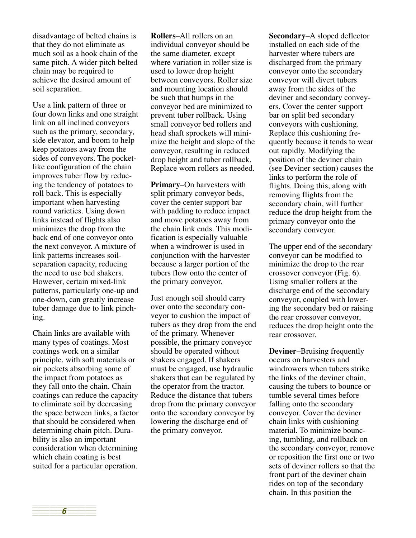disadvantage of belted chains is that they do not eliminate as much soil as a hook chain of the same pitch. A wider pitch belted chain may be required to achieve the desired amount of soil separation.

Use a link pattern of three or four down links and one straight link on all inclined conveyors such as the primary, secondary, side elevator, and boom to help keep potatoes away from the sides of conveyors. The pocketlike configuration of the chain improves tuber flow by reducing the tendency of potatoes to roll back. This is especially important when harvesting round varieties. Using down links instead of flights also minimizes the drop from the back end of one conveyor onto the next conveyor. A mixture of link patterns increases soilseparation capacity, reducing the need to use bed shakers. However, certain mixed-link patterns, particularly one-up and one-down, can greatly increase tuber damage due to link pinching.

Chain links are available with many types of coatings. Most coatings work on a similar principle, with soft materials or air pockets absorbing some of the impact from potatoes as they fall onto the chain. Chain coatings can reduce the capacity to eliminate soil by decreasing the space between links, a factor that should be considered when determining chain pitch. Durability is also an important consideration when determining which chain coating is best suited for a particular operation.

**Rollers**–All rollers on an individual conveyor should be the same diameter, except where variation in roller size is used to lower drop height between conveyors. Roller size and mounting location should be such that humps in the conveyor bed are minimized to prevent tuber rollback. Using small conveyor bed rollers and head shaft sprockets will minimize the height and slope of the conveyor, resulting in reduced drop height and tuber rollback. Replace worn rollers as needed.

**Primary**–On harvesters with split primary conveyor beds, cover the center support bar with padding to reduce impact and move potatoes away from the chain link ends. This modification is especially valuable when a windrower is used in conjunction with the harvester because a larger portion of the tubers flow onto the center of the primary conveyor.

Just enough soil should carry over onto the secondary conveyor to cushion the impact of tubers as they drop from the end of the primary. Whenever possible, the primary conveyor should be operated without shakers engaged. If shakers must be engaged, use hydraulic shakers that can be regulated by the operator from the tractor. Reduce the distance that tubers drop from the primary conveyor onto the secondary conveyor by lowering the discharge end of the primary conveyor.

**Secondary**–A sloped deflector installed on each side of the harvester where tubers are discharged from the primary conveyor onto the secondary conveyor will divert tubers away from the sides of the deviner and secondary conveyers. Cover the center support bar on split bed secondary conveyors with cushioning. Replace this cushioning frequently because it tends to wear out rapidly. Modifying the position of the deviner chain (see Deviner section) causes the links to perform the role of flights. Doing this, along with removing flights from the secondary chain, will further reduce the drop height from the primary conveyor onto the secondary conveyor.

The upper end of the secondary conveyor can be modified to minimize the drop to the rear crossover conveyor (Fig. 6). Using smaller rollers at the discharge end of the secondary conveyor, coupled with lowering the secondary bed or raising the rear crossover conveyor, reduces the drop height onto the rear crossover.

**Deviner**–Bruising frequently occurs on harvesters and windrowers when tubers strike the links of the deviner chain, causing the tubers to bounce or tumble several times before falling onto the secondary conveyor. Cover the deviner chain links with cushioning material. To minimize bouncing, tumbling, and rollback on the secondary conveyor, remove or reposition the first one or two sets of deviner rollers so that the front part of the deviner chain rides on top of the secondary chain. In this position the

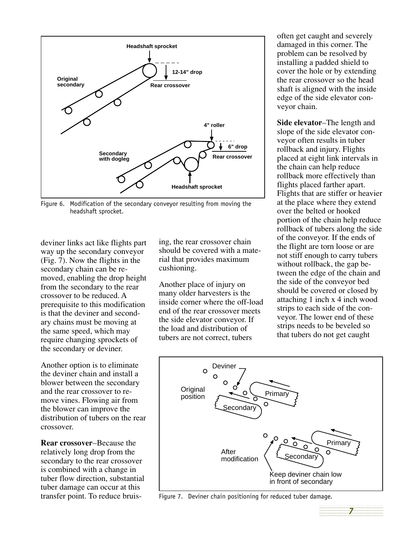

Figure 6. Modification of the secondary conveyor resulting from moving the headshaft sprocket.

deviner links act like flights part way up the secondary conveyor (Fig. 7). Now the flights in the secondary chain can be removed, enabling the drop height from the secondary to the rear crossover to be reduced. A prerequisite to this modification is that the deviner and secondary chains must be moving at the same speed, which may require changing sprockets of the secondary or deviner.

Another option is to eliminate the deviner chain and install a blower between the secondary and the rear crossover to remove vines. Flowing air from the blower can improve the distribution of tubers on the rear crossover.

**Rear crossover**–Because the relatively long drop from the secondary to the rear crossover is combined with a change in tuber flow direction, substantial tuber damage can occur at this transfer point. To reduce bruis-

ing, the rear crossover chain should be covered with a material that provides maximum cushioning.

Another place of injury on many older harvesters is the inside corner where the off-load end of the rear crossover meets the side elevator conveyor. If the load and distribution of tubers are not correct, tubers

often get caught and severely damaged in this corner. The problem can be resolved by installing a padded shield to cover the hole or by extending the rear crossover so the head shaft is aligned with the inside edge of the side elevator conveyor chain.

**Side elevator**–The length and slope of the side elevator conveyor often results in tuber rollback and injury. Flights placed at eight link intervals in the chain can help reduce rollback more effectively than flights placed farther apart. Flights that are stiffer or heavier at the place where they extend over the belted or hooked portion of the chain help reduce rollback of tubers along the side of the conveyor. If the ends of the flight are torn loose or are not stiff enough to carry tubers without rollback, the gap between the edge of the chain and the side of the conveyor bed should be covered or closed by attaching 1 inch x 4 inch wood strips to each side of the conveyor. The lower end of these strips needs to be beveled so that tubers do not get caught



Figure 7. Deviner chain positioning for reduced tuber damage.

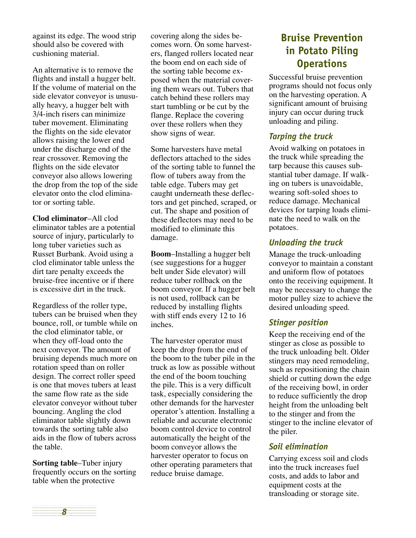against its edge. The wood strip should also be covered with cushioning material.

An alternative is to remove the flights and install a hugger belt. If the volume of material on the side elevator conveyor is unusually heavy, a hugger belt with 3/4-inch risers can minimize tuber movement. Eliminating the flights on the side elevator allows raising the lower end under the discharge end of the rear crossover. Removing the flights on the side elevator conveyor also allows lowering the drop from the top of the side elevator onto the clod eliminator or sorting table.

**Clod eliminator**–All clod eliminator tables are a potential source of injury, particularly to long tuber varieties such as Russet Burbank. Avoid using a clod eliminator table unless the dirt tare penalty exceeds the bruise-free incentive or if there is excessive dirt in the truck.

Regardless of the roller type, tubers can be bruised when they bounce, roll, or tumble while on the clod eliminator table, or when they off-load onto the next conveyor. The amount of bruising depends much more on rotation speed than on roller design. The correct roller speed is one that moves tubers at least the same flow rate as the side elevator conveyor without tuber bouncing. Angling the clod eliminator table slightly down towards the sorting table also aids in the flow of tubers across the table.

**Sorting table**–Tuber injury frequently occurs on the sorting table when the protective

covering along the sides becomes worn. On some harvesters, flanged rollers located near the boom end on each side of the sorting table become exposed when the material covering them wears out. Tubers that catch behind these rollers may start tumbling or be cut by the flange. Replace the covering over these rollers when they show signs of wear.

Some harvesters have metal deflectors attached to the sides of the sorting table to funnel the flow of tubers away from the table edge. Tubers may get caught underneath these deflectors and get pinched, scraped, or cut. The shape and position of these deflectors may need to be modified to eliminate this damage.

**Boom**–Installing a hugger belt (see suggestions for a hugger belt under Side elevator) will reduce tuber rollback on the boom conveyor. If a hugger belt is not used, rollback can be reduced by installing flights with stiff ends every 12 to 16 inches.

The harvester operator must keep the drop from the end of the boom to the tuber pile in the truck as low as possible without the end of the boom touching the pile. This is a very difficult task, especially considering the other demands for the harvester operator's attention. Installing a reliable and accurate electronic boom control device to control automatically the height of the boom conveyor allows the harvester operator to focus on other operating parameters that reduce bruise damage.

## **Bruise Prevention in Potato Piling Operations**

Successful bruise prevention programs should not focus only on the harvesting operation. A significant amount of bruising injury can occur during truck unloading and piling.

#### *Tarping the truck*

Avoid walking on potatoes in the truck while spreading the tarp because this causes substantial tuber damage. If walking on tubers is unavoidable, wearing soft-soled shoes to reduce damage. Mechanical devices for tarping loads eliminate the need to walk on the potatoes.

### *Unloading the truck*

Manage the truck-unloading conveyor to maintain a constant and uniform flow of potatoes onto the receiving equipment. It may be necessary to change the motor pulley size to achieve the desired unloading speed.

### *Stinger position*

Keep the receiving end of the stinger as close as possible to the truck unloading belt. Older stingers may need remodeling, such as repositioning the chain shield or cutting down the edge of the receiving bowl, in order to reduce sufficiently the drop height from the unloading belt to the stinger and from the stinger to the incline elevator of the piler.

## *Soil elimination*

Carrying excess soil and clods into the truck increases fuel costs, and adds to labor and equipment costs at the transloading or storage site.

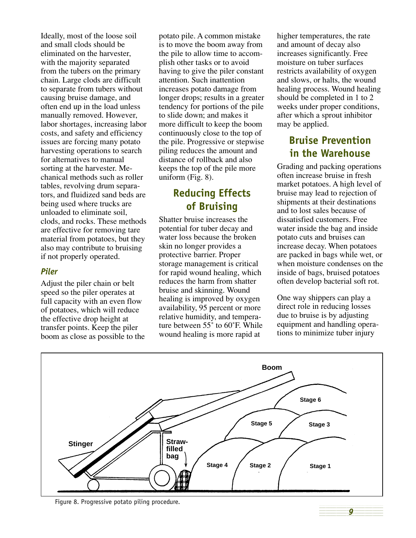Ideally, most of the loose soil and small clods should be eliminated on the harvester, with the majority separated from the tubers on the primary chain. Large clods are difficult to separate from tubers without causing bruise damage, and often end up in the load unless manually removed. However, labor shortages, increasing labor costs, and safety and efficiency issues are forcing many potato harvesting operations to search for alternatives to manual sorting at the harvester. Mechanical methods such as roller tables, revolving drum separators, and fluidized sand beds are being used where trucks are unloaded to eliminate soil, clods, and rocks. These methods are effective for removing tare material from potatoes, but they also may contribute to bruising if not properly operated.

#### *Piler*

Adjust the piler chain or belt speed so the piler operates at full capacity with an even flow of potatoes, which will reduce the effective drop height at transfer points. Keep the piler boom as close as possible to the

potato pile. A common mistake is to move the boom away from the pile to allow time to accomplish other tasks or to avoid having to give the piler constant attention. Such inattention increases potato damage from longer drops; results in a greater tendency for portions of the pile to slide down; and makes it more difficult to keep the boom continuously close to the top of the pile. Progressive or stepwise piling reduces the amount and distance of rollback and also keeps the top of the pile more uniform (Fig. 8).

## **Reducing Effects of Bruising**

Shatter bruise increases the potential for tuber decay and water loss because the broken skin no longer provides a protective barrier. Proper storage management is critical for rapid wound healing, which reduces the harm from shatter bruise and skinning. Wound healing is improved by oxygen availability, 95 percent or more relative humidity, and temperature between 55˚ to 60˚F. While wound healing is more rapid at

higher temperatures, the rate and amount of decay also increases significantly. Free moisture on tuber surfaces restricts availability of oxygen and slows, or halts, the wound healing process. Wound healing should be completed in 1 to 2 weeks under proper conditions, after which a sprout inhibitor may be applied.

# **Bruise Prevention in the Warehouse**

Grading and packing operations often increase bruise in fresh market potatoes. A high level of bruise may lead to rejection of shipments at their destinations and to lost sales because of dissatisfied customers. Free water inside the bag and inside potato cuts and bruises can increase decay. When potatoes are packed in bags while wet, or when moisture condenses on the inside of bags, bruised potatoes often develop bacterial soft rot.

One way shippers can play a direct role in reducing losses due to bruise is by adjusting equipment and handling operations to minimize tuber injury



Figure 8. Progressive potato piling procedure.

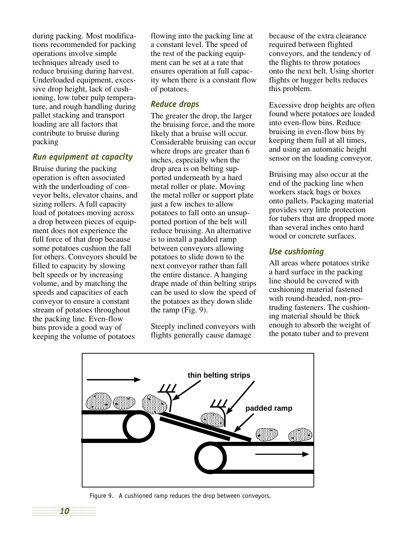during packing. Most modifications recommended for packing operations involve simple techniques already used to reduce bruising during harvest. Underloaded equipment, excessive drop height, lack of cushioning, low tuber pulp temperature, and rough handling during pallet stacking and transport loading are all factors that contribute to bruise during packing

#### *Run equipment at capacity*

Bruise during the packing operation is often associated with the underloading of conveyor belts, elevator chains, and sizing rollers. A full capacity load of potatoes moving across a drop between pieces of equipment does not experience the full force of that drop because some potatoes cushion the fall for others. Conveyors should be filled to capacity by slowing belt speeds or by increasing volume, and by matching the speeds and capacities of each conveyor to ensure a constant stream of potatoes throughout the packing line. Even-flow bins provide a good way of keeping the volume of potatoes

**10** 1234<del>5789012345678901234567890123456789012345</del> flowing into the packing line at a constant level. The speed of the rest of the packing equipment can be set at a rate that ensures operation at full capacity when there is a constant flow of potatoes.

#### *Reduce drops*

The greater the drop, the larger the bruising force, and the more likely that a bruise will occur. Considerable bruising can occur where drops are greater than 6 inches, especially when the drop area is on belting supported underneath by a hard metal roller or plate. Moving the metal roller or support plate just a few inches to allow potatoes to fall onto an unsupported portion of the belt will reduce bruising. An alternative is to install a padded ramp between conveyors allowing potatoes to slide down to the next conveyor rather than fall the entire distance. A hanging drape made of thin belting strips can be used to slow the speed of the potatoes as they down slide the ramp (Fig. 9).

Steeply inclined conveyors with flights generally cause damage

because of the extra clearance required between flighted conveyors, and the tendency of the flights to throw potatoes onto the next belt. Using shorter flights or hugger belts reduces this problem.

Excessive drop heights are often found where potatoes are loaded into even-flow bins. Reduce bruising in even-flow bins by keeping them full at all times, and using an automatic height sensor on the loading conveyor.

Bruising may also occur at the end of the packing line when workers stack bags or boxes onto pallets. Packaging material provides very little protection for tubers that are dropped more than several inches onto hard wood or concrete surfaces.

#### *Use cushioning*

All areas where potatoes strike a hard surface in the packing line should be covered with cushioning material fastened with round-headed, non-protruding fasteners. The cushioning material should be thick enough to absorb the weight of the potato tuber and to prevent



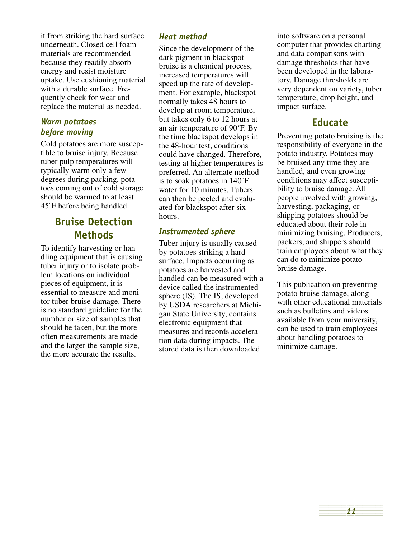it from striking the hard surface underneath. Closed cell foam materials are recommended because they readily absorb energy and resist moisture uptake. Use cushioning material with a durable surface. Frequently check for wear and replace the material as needed.

#### *Warm potatoes before moving*

Cold potatoes are more susceptible to bruise injury. Because tuber pulp temperatures will typically warm only a few degrees during packing, potatoes coming out of cold storage should be warmed to at least 45˚F before being handled.

## **Bruise Detection Methods**

To identify harvesting or handling equipment that is causing tuber injury or to isolate problem locations on individual pieces of equipment, it is essential to measure and monitor tuber bruise damage. There is no standard guideline for the number or size of samples that should be taken, but the more often measurements are made and the larger the sample size, the more accurate the results.

#### *Heat method*

Since the development of the dark pigment in blackspot bruise is a chemical process, increased temperatures will speed up the rate of development. For example, blackspot normally takes 48 hours to develop at room temperature, but takes only 6 to 12 hours at an air temperature of 90˚F. By the time blackspot develops in the 48-hour test, conditions could have changed. Therefore, testing at higher temperatures is preferred. An alternate method is to soak potatoes in 140˚F water for 10 minutes. Tubers can then be peeled and evaluated for blackspot after six hours.

#### *Instrumented sphere*

Tuber injury is usually caused by potatoes striking a hard surface. Impacts occurring as potatoes are harvested and handled can be measured with a device called the instrumented sphere (IS). The IS, developed by USDA researchers at Michigan State University, contains electronic equipment that measures and records acceleration data during impacts. The stored data is then downloaded

into software on a personal computer that provides charting and data comparisons with damage thresholds that have been developed in the laboratory. Damage thresholds are very dependent on variety, tuber temperature, drop height, and impact surface.

## **Educate**

Preventing potato bruising is the responsibility of everyone in the potato industry. Potatoes may be bruised any time they are handled, and even growing conditions may affect susceptibility to bruise damage. All people involved with growing, harvesting, packaging, or shipping potatoes should be educated about their role in minimizing bruising. Producers, packers, and shippers should train employees about what they can do to minimize potato bruise damage.

This publication on preventing potato bruise damage, along with other educational materials such as bulletins and videos available from your university, can be used to train employees about handling potatoes to minimize damage.